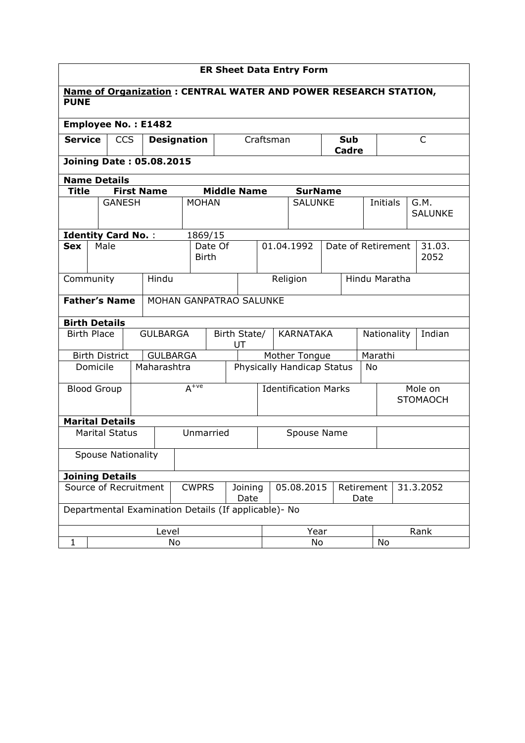| <b>ER Sheet Data Entry Form</b>                                                       |                     |                           |            |                                                       |                                          |                    |                                        |             |          |                                         |                |                            |               |                            |           |                |                        |  |
|---------------------------------------------------------------------------------------|---------------------|---------------------------|------------|-------------------------------------------------------|------------------------------------------|--------------------|----------------------------------------|-------------|----------|-----------------------------------------|----------------|----------------------------|---------------|----------------------------|-----------|----------------|------------------------|--|
| <b>Name of Organization: CENTRAL WATER AND POWER RESEARCH STATION,</b><br><b>PUNE</b> |                     |                           |            |                                                       |                                          |                    |                                        |             |          |                                         |                |                            |               |                            |           |                |                        |  |
| <b>Employee No.: E1482</b>                                                            |                     |                           |            |                                                       |                                          |                    |                                        |             |          |                                         |                |                            |               |                            |           |                |                        |  |
| <b>Service</b>                                                                        |                     |                           | <b>CCS</b> |                                                       |                                          | <b>Designation</b> |                                        |             |          | Craftsman<br><b>Sub</b><br><b>Cadre</b> |                |                            |               | C                          |           |                |                        |  |
| <b>Joining Date: 05.08.2015</b>                                                       |                     |                           |            |                                                       |                                          |                    |                                        |             |          |                                         |                |                            |               |                            |           |                |                        |  |
|                                                                                       | <b>Name Details</b> |                           |            |                                                       |                                          |                    |                                        |             |          |                                         |                |                            |               |                            |           |                |                        |  |
| <b>Title</b>                                                                          |                     |                           |            | <b>First Name</b>                                     |                                          |                    | <b>Middle Name</b>                     |             |          |                                         |                | <b>SurName</b>             |               |                            |           |                |                        |  |
|                                                                                       |                     | <b>GANESH</b>             |            |                                                       |                                          | <b>MOHAN</b>       |                                        |             |          |                                         | <b>SALUNKE</b> |                            |               |                            | Initials  |                | G.M.<br><b>SALUNKE</b> |  |
|                                                                                       |                     | <b>Identity Card No.:</b> |            |                                                       |                                          | 1869/15            |                                        |             |          |                                         |                |                            |               |                            |           |                |                        |  |
| <b>Sex</b>                                                                            | Male                |                           |            |                                                       | <b>Birth</b>                             | Date Of            | 01.04.1992                             |             |          |                                         |                | Date of Retirement         |               |                            |           | 31.03.<br>2052 |                        |  |
| Community<br>Hindu                                                                    |                     |                           |            |                                                       |                                          |                    |                                        |             | Religion |                                         |                |                            | Hindu Maratha |                            |           |                |                        |  |
|                                                                                       |                     | <b>Father's Name</b>      |            | MOHAN GANPATRAO SALUNKE                               |                                          |                    |                                        |             |          |                                         |                |                            |               |                            |           |                |                        |  |
|                                                                                       |                     | <b>Birth Details</b>      |            |                                                       |                                          |                    |                                        |             |          |                                         |                |                            |               |                            |           |                |                        |  |
| <b>Birth Place</b>                                                                    |                     |                           |            | <b>GULBARGA</b>                                       |                                          |                    | Birth State/<br><b>KARNATAKA</b><br>UT |             |          |                                         | Nationality    |                            |               |                            |           | Indian         |                        |  |
|                                                                                       |                     | <b>Birth District</b>     |            | <b>GULBARGA</b>                                       |                                          |                    |                                        |             |          |                                         |                | Mother Tongue              |               |                            |           | Marathi        |                        |  |
|                                                                                       |                     | Domicile                  |            | Maharashtra                                           |                                          |                    |                                        |             |          |                                         |                | Physically Handicap Status |               |                            | <b>No</b> |                |                        |  |
| <b>Blood Group</b>                                                                    |                     |                           |            |                                                       | $A^{+ve}$<br><b>Identification Marks</b> |                    |                                        |             |          |                                         |                |                            |               | Mole on<br><b>STOMAOCH</b> |           |                |                        |  |
|                                                                                       |                     | <b>Marital Details</b>    |            |                                                       |                                          |                    |                                        |             |          |                                         |                |                            |               |                            |           |                |                        |  |
|                                                                                       |                     | <b>Marital Status</b>     |            |                                                       |                                          |                    | Unmarried                              | Spouse Name |          |                                         |                |                            |               |                            |           |                |                        |  |
|                                                                                       |                     | <b>Spouse Nationality</b> |            |                                                       |                                          |                    |                                        |             |          |                                         |                |                            |               |                            |           |                |                        |  |
|                                                                                       |                     | <b>Joining Details</b>    |            |                                                       |                                          |                    |                                        |             |          |                                         |                |                            |               |                            |           |                |                        |  |
| Source of Recruitment<br><b>CWPRS</b><br>05.08.2015<br>Joining<br>Retirement<br>Date  |                     |                           |            |                                                       |                                          |                    | Date                                   | 31.3.2052   |          |                                         |                |                            |               |                            |           |                |                        |  |
|                                                                                       |                     |                           |            | Departmental Examination Details (If applicable) - No |                                          |                    |                                        |             |          |                                         |                |                            |               |                            |           |                |                        |  |
|                                                                                       |                     |                           |            | Level                                                 |                                          |                    |                                        |             |          | Year                                    |                |                            |               | Rank                       |           |                |                        |  |
| $\mathbf{1}$                                                                          | No                  |                           |            |                                                       |                                          |                    |                                        | No          |          |                                         |                | No                         |               |                            |           |                |                        |  |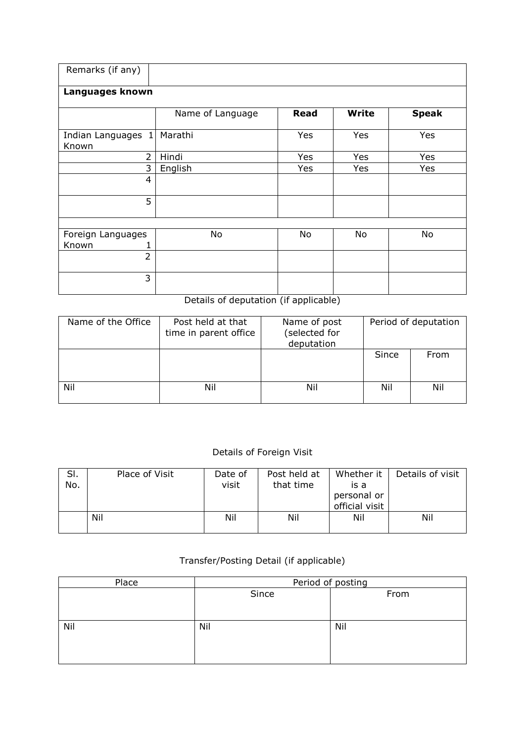| Remarks (if any)            |                  |             |              |              |  |  |  |  |  |  |  |
|-----------------------------|------------------|-------------|--------------|--------------|--|--|--|--|--|--|--|
| Languages known             |                  |             |              |              |  |  |  |  |  |  |  |
|                             | Name of Language | <b>Read</b> | <b>Write</b> | <b>Speak</b> |  |  |  |  |  |  |  |
| Indian Languages 1<br>Known | Marathi          | <b>Yes</b>  | <b>Yes</b>   | Yes          |  |  |  |  |  |  |  |
| $\overline{2}$              | Hindi            | Yes         | Yes          | Yes          |  |  |  |  |  |  |  |
| 3                           | English          | Yes         | Yes          | Yes          |  |  |  |  |  |  |  |
| 4                           |                  |             |              |              |  |  |  |  |  |  |  |
| 5                           |                  |             |              |              |  |  |  |  |  |  |  |
|                             |                  |             |              |              |  |  |  |  |  |  |  |
| Foreign Languages<br>Known  | No               | No          | No           | No           |  |  |  |  |  |  |  |
| $\overline{2}$              |                  |             |              |              |  |  |  |  |  |  |  |
| 3                           |                  |             |              |              |  |  |  |  |  |  |  |

Details of deputation (if applicable)

| Name of the Office | Post held at that<br>time in parent office | Name of post<br>(selected for<br>deputation | Period of deputation |      |  |  |
|--------------------|--------------------------------------------|---------------------------------------------|----------------------|------|--|--|
|                    |                                            |                                             | Since                | From |  |  |
| Nil                | Nil                                        | Nil                                         | Nil                  | Nil  |  |  |

## Details of Foreign Visit

| SI.<br>No. | Place of Visit | Date of<br>visit | Post held at<br>that time | Whether it<br>is a            | Details of visit |
|------------|----------------|------------------|---------------------------|-------------------------------|------------------|
|            |                |                  |                           | personal or<br>official visit |                  |
|            | Nil            | Nil              | Nil                       | Nil                           | Nil              |

## Transfer/Posting Detail (if applicable)

| Place | Period of posting |      |  |  |  |  |  |
|-------|-------------------|------|--|--|--|--|--|
|       | Since             | From |  |  |  |  |  |
|       |                   |      |  |  |  |  |  |
|       |                   |      |  |  |  |  |  |
| Nil   | Nil               | Nil  |  |  |  |  |  |
|       |                   |      |  |  |  |  |  |
|       |                   |      |  |  |  |  |  |
|       |                   |      |  |  |  |  |  |